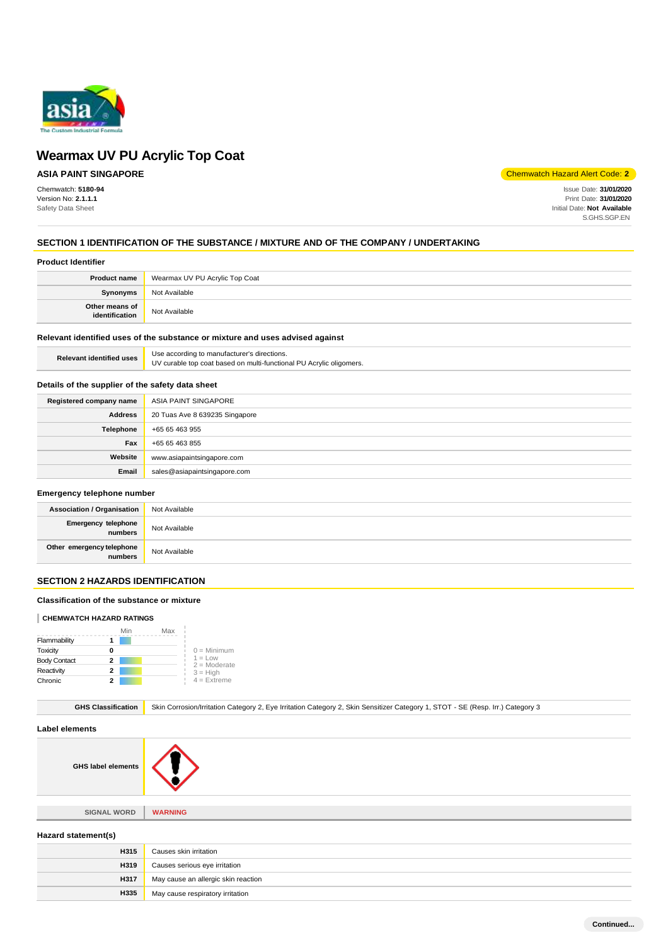

## **ASIA PAINT SINGAPORE**

Chemwatch: **5180-94** Version No: **2.1.1.1** Safety Data Sheet

Chemwatch Hazard Alert Code: **2**

Issue Date: **31/01/2020** Print Date: **31/01/2020** Initial Date: **Not Available** S.GHS.SGP.EN

### **SECTION 1 IDENTIFICATION OF THE SUBSTANCE / MIXTURE AND OF THE COMPANY / UNDERTAKING**

#### **Product Identifier**

| <b>Product name</b>              | Wearmax UV PU Acrylic Top Coat |
|----------------------------------|--------------------------------|
| <b>Synonyms</b>                  | Not Available                  |
| Other means of<br>identification | Not Available                  |

### **Relevant identified uses of the substance or mixture and uses advised against**

| Use according to manufacturer's directions.<br>UV curable top coat based on multi-functional PU Acrylic oligomers. |
|--------------------------------------------------------------------------------------------------------------------|
|                                                                                                                    |

### **Details of the supplier of the safety data sheet**

| Registered company name | ASIA PAINT SINGAPORE           |
|-------------------------|--------------------------------|
| <b>Address</b>          | 20 Tuas Ave 8 639235 Singapore |
| Telephone               | +65 65 463 955                 |
| Fax                     | +65 65 463 855                 |
| Website                 | www.asiapaintsingapore.com     |
| Email                   | sales@asiapaintsingapore.com   |

#### **Emergency telephone number**

| <b>Association / Organisation</b>    | Not Available |
|--------------------------------------|---------------|
| Emergency telephone                  | Not Available |
| Other emergency telephone<br>numbers | Not Available |

### **SECTION 2 HAZARDS IDENTIFICATION**

#### **Classification of the substance or mixture**

#### **CHEMWATCH HAZARD RATINGS**

|                     |   | Min | Max |                              |
|---------------------|---|-----|-----|------------------------------|
| Flammability        |   |     |     |                              |
| Toxicity            | O |     |     | $0 =$ Minimum                |
| <b>Body Contact</b> | 2 |     |     | $1 = L$ ow<br>$2 =$ Moderate |
| Reactivity          | 2 |     |     | $3 = High$                   |
| Chronic             |   |     |     | $4 =$ Extreme                |

GHS Classification Skin Corrosion/Irritation Category 2, Eye Irritation Category 2, Skin Sensitizer Category 1, STOT - SE (Resp. Irr.) Category 3

#### **Label elements**

**GHS label elements**



**SIGNAL WORD WARNING**

**Hazard statement(s)**

| H315        | Causes skin irritation              |
|-------------|-------------------------------------|
| <b>H319</b> | Causes serious eye irritation       |
| H317        | May cause an allergic skin reaction |
| H335        | May cause respiratory irritation    |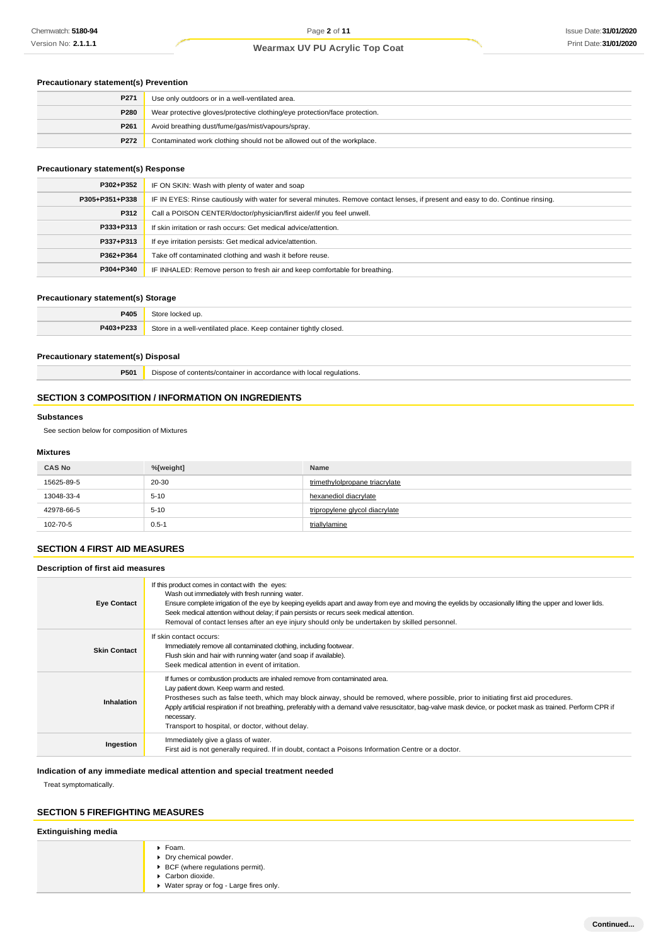### **Precautionary statement(s) Prevention**

| P271 | Use only outdoors or in a well-ventilated area.                            |
|------|----------------------------------------------------------------------------|
| P280 | Wear protective gloves/protective clothing/eye protection/face protection. |
| P261 | Avoid breathing dust/fume/gas/mist/vapours/spray.                          |
| P272 | Contaminated work clothing should not be allowed out of the workplace.     |

### **Precautionary statement(s) Response**

| P302+P352      | IF ON SKIN: Wash with plenty of water and soap                                                                                   |
|----------------|----------------------------------------------------------------------------------------------------------------------------------|
| P305+P351+P338 | IF IN EYES: Rinse cautiously with water for several minutes. Remove contact lenses, if present and easy to do. Continue rinsing. |
| P312           | Call a POISON CENTER/doctor/physician/first aider/if you feel unwell.                                                            |
| P333+P313      | If skin irritation or rash occurs: Get medical advice/attention.                                                                 |
| P337+P313      | If eye irritation persists: Get medical advice/attention.                                                                        |
| P362+P364      | Take off contaminated clothing and wash it before reuse.                                                                         |
| P304+P340      | IF INHALED: Remove person to fresh air and keep comfortable for breathing.                                                       |

### **Precautionary statement(s) Storage**

| <b>P405</b> |                                                                  |
|-------------|------------------------------------------------------------------|
| P403+P233   | Store in a well-ventilated place. Keep container tightly closed. |

### **Precautionary statement(s) Disposal**

**P501** Dispose of contents/container in accordance with local regulations.

### **SECTION 3 COMPOSITION / INFORMATION ON INGREDIENTS**

### **Substances**

See section below for composition of Mixtures

### **Mixtures**

| <b>CAS No</b> | %[weight] | Name                           |
|---------------|-----------|--------------------------------|
| 15625-89-5    | 20-30     | trimethylolpropane triacrylate |
| 13048-33-4    | $5 - 10$  | hexanediol diacrylate          |
| 42978-66-5    | $5 - 10$  | tripropylene glycol diacrylate |
| 102-70-5      | $0.5 - 1$ | triallylamine                  |

### **SECTION 4 FIRST AID MEASURES**

**Description of first aid measures**

| <b>Eye Contact</b>  | If this product comes in contact with the eyes:<br>Wash out immediately with fresh running water.<br>Ensure complete irrigation of the eye by keeping eyelids apart and away from eye and moving the eyelids by occasionally lifting the upper and lower lids.<br>Seek medical attention without delay; if pain persists or recurs seek medical attention.<br>Removal of contact lenses after an eye injury should only be undertaken by skilled personnel.                                      |
|---------------------|--------------------------------------------------------------------------------------------------------------------------------------------------------------------------------------------------------------------------------------------------------------------------------------------------------------------------------------------------------------------------------------------------------------------------------------------------------------------------------------------------|
| <b>Skin Contact</b> | If skin contact occurs:<br>Immediately remove all contaminated clothing, including footwear.<br>Flush skin and hair with running water (and soap if available).<br>Seek medical attention in event of irritation.                                                                                                                                                                                                                                                                                |
| <b>Inhalation</b>   | If furnes or combustion products are inhaled remove from contaminated area.<br>Lay patient down. Keep warm and rested.<br>Prostheses such as false teeth, which may block airway, should be removed, where possible, prior to initiating first aid procedures.<br>Apply artificial respiration if not breathing, preferably with a demand valve resuscitator, bag-valve mask device, or pocket mask as trained. Perform CPR if<br>necessary.<br>Transport to hospital, or doctor, without delay. |
| Ingestion           | Immediately give a glass of water.<br>First aid is not generally required. If in doubt, contact a Poisons Information Centre or a doctor.                                                                                                                                                                                                                                                                                                                                                        |

**Indication of any immediate medical attention and special treatment needed**

Treat symptomatically.

### **SECTION 5 FIREFIGHTING MEASURES**

### **Extinguishing media**

| ▶ Foam.                                  |
|------------------------------------------|
| • Dry chemical powder.                   |
| ▶ BCF (where regulations permit).        |
| Carbon dioxide.                          |
| ▶ Water spray or fog - Large fires only. |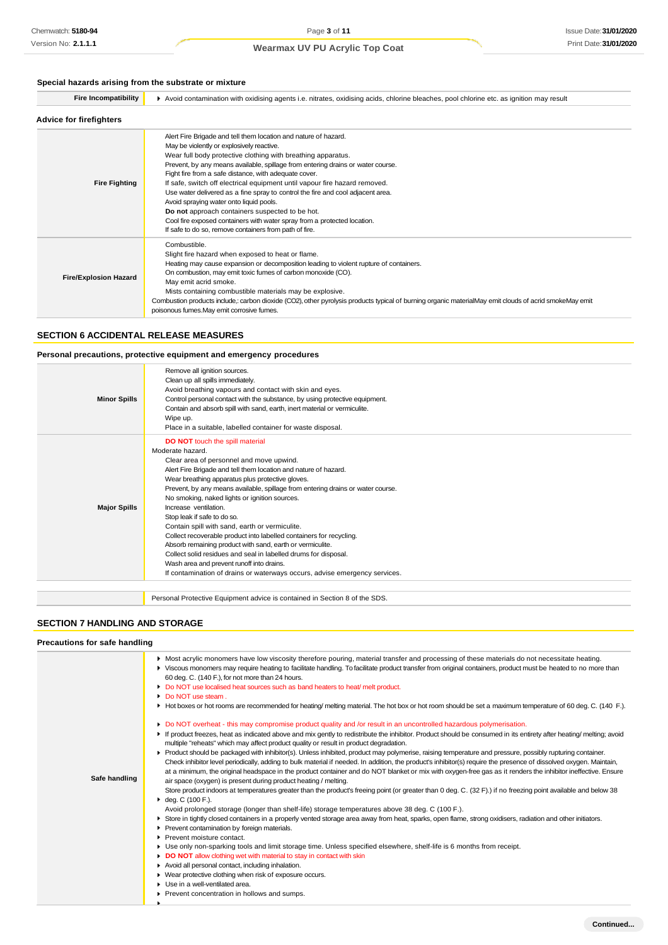### **Special hazards arising from the substrate or mixture**

| opecial hazards arising from the substrate of infixitie |                                                                                                                                                                                                                                                                                                                                                                                                                                                                                                                                                                                                                                                                                                                               |  |  |
|---------------------------------------------------------|-------------------------------------------------------------------------------------------------------------------------------------------------------------------------------------------------------------------------------------------------------------------------------------------------------------------------------------------------------------------------------------------------------------------------------------------------------------------------------------------------------------------------------------------------------------------------------------------------------------------------------------------------------------------------------------------------------------------------------|--|--|
| <b>Fire Incompatibility</b>                             | Avoid contamination with oxidising agents i.e. nitrates, oxidising acids, chlorine bleaches, pool chlorine etc. as ignition may result                                                                                                                                                                                                                                                                                                                                                                                                                                                                                                                                                                                        |  |  |
| <b>Advice for firefighters</b>                          |                                                                                                                                                                                                                                                                                                                                                                                                                                                                                                                                                                                                                                                                                                                               |  |  |
| <b>Fire Fighting</b>                                    | Alert Fire Brigade and tell them location and nature of hazard.<br>May be violently or explosively reactive.<br>Wear full body protective clothing with breathing apparatus.<br>Prevent, by any means available, spillage from entering drains or water course.<br>Fight fire from a safe distance, with adequate cover.<br>If safe, switch off electrical equipment until vapour fire hazard removed.<br>Use water delivered as a fine spray to control the fire and cool adjacent area.<br>Avoid spraying water onto liquid pools.<br>Do not approach containers suspected to be hot.<br>Cool fire exposed containers with water spray from a protected location.<br>If safe to do so, remove containers from path of fire. |  |  |
| <b>Fire/Explosion Hazard</b>                            | Combustible.<br>Slight fire hazard when exposed to heat or flame.<br>Heating may cause expansion or decomposition leading to violent rupture of containers.<br>On combustion, may emit toxic fumes of carbon monoxide (CO).<br>May emit acrid smoke.<br>Mists containing combustible materials may be explosive.<br>Combustion products include,: carbon dioxide (CO2), other pyrolysis products typical of burning organic materialMay emit clouds of acrid smokeMay emit<br>poisonous fumes. May emit corrosive fumes.                                                                                                                                                                                                      |  |  |

### **SECTION 6 ACCIDENTAL RELEASE MEASURES**

### **Personal precautions, protective equipment and emergency procedures**

| <b>Minor Spills</b> | Remove all ignition sources.<br>Clean up all spills immediately.<br>Avoid breathing vapours and contact with skin and eyes.<br>Control personal contact with the substance, by using protective equipment.<br>Contain and absorb spill with sand, earth, inert material or vermiculite.<br>Wipe up.<br>Place in a suitable, labelled container for waste disposal.                                                                                                                                                                                                                                                                                                                                                                                                                                            |
|---------------------|---------------------------------------------------------------------------------------------------------------------------------------------------------------------------------------------------------------------------------------------------------------------------------------------------------------------------------------------------------------------------------------------------------------------------------------------------------------------------------------------------------------------------------------------------------------------------------------------------------------------------------------------------------------------------------------------------------------------------------------------------------------------------------------------------------------|
| <b>Major Spills</b> | <b>DO NOT</b> touch the spill material<br>Moderate hazard.<br>Clear area of personnel and move upwind.<br>Alert Fire Brigade and tell them location and nature of hazard.<br>Wear breathing apparatus plus protective gloves.<br>Prevent, by any means available, spillage from entering drains or water course.<br>No smoking, naked lights or ignition sources.<br>Increase ventilation.<br>Stop leak if safe to do so.<br>Contain spill with sand, earth or vermiculite.<br>Collect recoverable product into labelled containers for recycling.<br>Absorb remaining product with sand, earth or vermiculite.<br>Collect solid residues and seal in labelled drums for disposal.<br>Wash area and prevent runoff into drains.<br>If contamination of drains or waterways occurs, advise emergency services. |

Personal Protective Equipment advice is contained in Section 8 of the SDS.

### **SECTION 7 HANDLING AND STORAGE**

#### **Precautions for safe handling**

|               | • Most acrylic monomers have low viscosity therefore pouring, material transfer and processing of these materials do not necessitate heating.<br>▶ Viscous monomers may require heating to facilitate handling. To facilitate product transfer from original containers, product must be heated to no more than<br>60 deg. C. (140 F.), for not more than 24 hours.<br>Do NOT use localised heat sources such as band heaters to heat/melt product.<br>• Do NOT use steam.<br>► Hot boxes or hot rooms are recommended for heating/melting material. The hot box or hot room should be set a maximum temperature of 60 deg. C. (140 F.).                                                                                                                                                                                                                                                                                                                                                                                                                                                                                                                                                                                                                                                                                                                                                                                                                                                                                                                                                                                                                                                                                                                                                                                                                                                              |
|---------------|-------------------------------------------------------------------------------------------------------------------------------------------------------------------------------------------------------------------------------------------------------------------------------------------------------------------------------------------------------------------------------------------------------------------------------------------------------------------------------------------------------------------------------------------------------------------------------------------------------------------------------------------------------------------------------------------------------------------------------------------------------------------------------------------------------------------------------------------------------------------------------------------------------------------------------------------------------------------------------------------------------------------------------------------------------------------------------------------------------------------------------------------------------------------------------------------------------------------------------------------------------------------------------------------------------------------------------------------------------------------------------------------------------------------------------------------------------------------------------------------------------------------------------------------------------------------------------------------------------------------------------------------------------------------------------------------------------------------------------------------------------------------------------------------------------------------------------------------------------------------------------------------------------|
| Safe handling | Do NOT overheat - this may compromise product quality and /or result in an uncontrolled hazardous polymerisation.<br>If product freezes, heat as indicated above and mix gently to redistribute the inhibitor. Product should be consumed in its entirety after heating/ melting; avoid<br>multiple "reheats" which may affect product quality or result in product degradation.<br>▶ Product should be packaged with inhibitor(s). Unless inhibited, product may polymerise, raising temperature and pressure, possibly rupturing container.<br>Check inhibitor level periodically, adding to bulk material if needed. In addition, the product's inhibitor(s) require the presence of dissolved oxygen. Maintain,<br>at a minimum, the original headspace in the product container and do NOT blanket or mix with oxygen-free gas as it renders the inhibitor ineffective. Ensure<br>air space (oxygen) is present during product heating / melting.<br>Store product indoors at temperatures greater than the product's freeing point (or greater than 0 deg. C. (32 F).) if no freezing point available and below 38<br>$\cdot$ deg. C (100 F.).<br>Avoid prolonged storage (longer than shelf-life) storage temperatures above 38 deg. C (100 F.).<br>► Store in tightly closed containers in a properly vented storage area away from heat, sparks, open flame, strong oxidisers, radiation and other initiators.<br>Prevent contamination by foreign materials.<br>Prevent moisture contact.<br>Use only non-sparking tools and limit storage time. Unless specified elsewhere, shelf-life is 6 months from receipt.<br>DO NOT allow clothing wet with material to stay in contact with skin<br>Avoid all personal contact, including inhalation.<br>▶ Wear protective clothing when risk of exposure occurs.<br>Use in a well-ventilated area.<br>Prevent concentration in hollows and sumps. |
|               |                                                                                                                                                                                                                                                                                                                                                                                                                                                                                                                                                                                                                                                                                                                                                                                                                                                                                                                                                                                                                                                                                                                                                                                                                                                                                                                                                                                                                                                                                                                                                                                                                                                                                                                                                                                                                                                                                                       |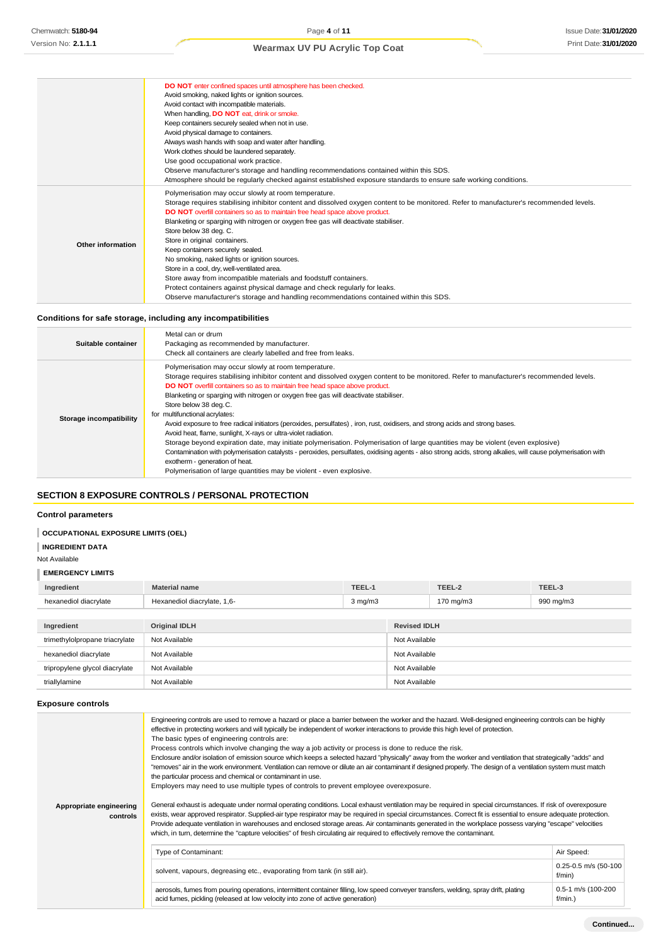|                   | DO NOT enter confined spaces until atmosphere has been checked.<br>Avoid smoking, naked lights or ignition sources.<br>Avoid contact with incompatible materials.<br>When handling, DO NOT eat, drink or smoke.<br>Keep containers securely sealed when not in use.<br>Avoid physical damage to containers.<br>Always wash hands with soap and water after handling.<br>Work clothes should be laundered separately.                                                                                                                                                                                                                                                                                                                                                                                             |
|-------------------|------------------------------------------------------------------------------------------------------------------------------------------------------------------------------------------------------------------------------------------------------------------------------------------------------------------------------------------------------------------------------------------------------------------------------------------------------------------------------------------------------------------------------------------------------------------------------------------------------------------------------------------------------------------------------------------------------------------------------------------------------------------------------------------------------------------|
|                   | Use good occupational work practice.<br>Observe manufacturer's storage and handling recommendations contained within this SDS.<br>Atmosphere should be regularly checked against established exposure standards to ensure safe working conditions.                                                                                                                                                                                                                                                                                                                                                                                                                                                                                                                                                               |
| Other information | Polymerisation may occur slowly at room temperature.<br>Storage requires stabilising inhibitor content and dissolved oxygen content to be monitored. Refer to manufacturer's recommended levels.<br>DO NOT overfill containers so as to maintain free head space above product.<br>Blanketing or sparging with nitrogen or oxygen free gas will deactivate stabiliser.<br>Store below 38 deg. C.<br>Store in original containers.<br>Keep containers securely sealed.<br>No smoking, naked lights or ignition sources.<br>Store in a cool, dry, well-ventilated area.<br>Store away from incompatible materials and foodstuff containers.<br>Protect containers against physical damage and check regularly for leaks.<br>Observe manufacturer's storage and handling recommendations contained within this SDS. |

### **Conditions for safe storage, including any incompatibilities**

| Suitable container      | Metal can or drum<br>Packaging as recommended by manufacturer.<br>Check all containers are clearly labelled and free from leaks.                                                                                                                                                                                                                                                                                                                                                                                                                                                                                                                                                                                                                                                                                                                                                                                                                                                                                                                |
|-------------------------|-------------------------------------------------------------------------------------------------------------------------------------------------------------------------------------------------------------------------------------------------------------------------------------------------------------------------------------------------------------------------------------------------------------------------------------------------------------------------------------------------------------------------------------------------------------------------------------------------------------------------------------------------------------------------------------------------------------------------------------------------------------------------------------------------------------------------------------------------------------------------------------------------------------------------------------------------------------------------------------------------------------------------------------------------|
| Storage incompatibility | Polymerisation may occur slowly at room temperature.<br>Storage requires stabilising inhibitor content and dissolved oxygen content to be monitored. Refer to manufacturer's recommended levels.<br>DO NOT overfill containers so as to maintain free head space above product.<br>Blanketing or sparging with nitrogen or oxygen free gas will deactivate stabiliser.<br>Store below 38 deg.C.<br>for multifunctional acrylates:<br>Avoid exposure to free radical initiators (peroxides, persulfates), iron, rust, oxidisers, and strong acids and strong bases.<br>Avoid heat, flame, sunlight, X-rays or ultra-violet radiation.<br>Storage beyond expiration date, may initiate polymerisation. Polymerisation of large quantities may be violent (even explosive)<br>Contamination with polymerisation catalysts - peroxides, persulfates, oxidising agents - also strong acids, strong alkalies, will cause polymerisation with<br>exotherm - generation of heat.<br>Polymerisation of large quantities may be violent - even explosive. |

### **SECTION 8 EXPOSURE CONTROLS / PERSONAL PROTECTION**

### **Control parameters**

### **OCCUPATIONAL EXPOSURE LIMITS (OEL)**

### **INGREDIENT DATA**

Not Available

### **EMERGENCY LIMITS**

| Ingredient            | <b>Material name</b>        | TEEL-1           | TEEL-2    | TEEL-3    |
|-----------------------|-----------------------------|------------------|-----------|-----------|
| hexanediol diacrylate | Hexanediol diacrylate, 1,6- | $3 \text{ ma/m}$ | 170 mg/m3 | 990 mg/m3 |
|                       |                             |                  |           |           |

| Ingredient                     | Original IDLH | <b>Revised IDLH</b> |
|--------------------------------|---------------|---------------------|
| trimethylolpropane triacrylate | Not Available | Not Available       |
| hexanediol diacrylate          | Not Available | Not Available       |
| tripropylene glycol diacrylate | Not Available | Not Available       |
| triallylamine                  | Not Available | Not Available       |

#### **Exposure controls**

| Appropriate engineering<br>controls                                                                                                                                                                                                                        | Engineering controls are used to remove a hazard or place a barrier between the worker and the hazard. Well-designed engineering controls can be highly<br>effective in protecting workers and will typically be independent of worker interactions to provide this high level of protection.<br>The basic types of engineering controls are:<br>Process controls which involve changing the way a job activity or process is done to reduce the risk.<br>Enclosure and/or isolation of emission source which keeps a selected hazard "physically" away from the worker and ventilation that strategically "adds" and<br>"removes" air in the work environment. Ventilation can remove or dilute an air contaminant if designed properly. The design of a ventilation system must match<br>the particular process and chemical or contaminant in use.<br>Employers may need to use multiple types of controls to prevent employee overexposure.<br>General exhaust is adequate under normal operating conditions. Local exhaust ventilation may be required in special circumstances. If risk of overexposure<br>exists, wear approved respirator. Supplied-air type respirator may be required in special circumstances. Correct fit is essential to ensure adequate protection.<br>Provide adequate ventilation in warehouses and enclosed storage areas. Air contaminants generated in the workplace possess varying "escape" velocities<br>which, in turn, determine the "capture velocities" of fresh circulating air required to effectively remove the contaminant. |  |  |  |
|------------------------------------------------------------------------------------------------------------------------------------------------------------------------------------------------------------------------------------------------------------|----------------------------------------------------------------------------------------------------------------------------------------------------------------------------------------------------------------------------------------------------------------------------------------------------------------------------------------------------------------------------------------------------------------------------------------------------------------------------------------------------------------------------------------------------------------------------------------------------------------------------------------------------------------------------------------------------------------------------------------------------------------------------------------------------------------------------------------------------------------------------------------------------------------------------------------------------------------------------------------------------------------------------------------------------------------------------------------------------------------------------------------------------------------------------------------------------------------------------------------------------------------------------------------------------------------------------------------------------------------------------------------------------------------------------------------------------------------------------------------------------------------------------------------------------------------------------|--|--|--|
| Type of Contaminant:                                                                                                                                                                                                                                       |                                                                                                                                                                                                                                                                                                                                                                                                                                                                                                                                                                                                                                                                                                                                                                                                                                                                                                                                                                                                                                                                                                                                                                                                                                                                                                                                                                                                                                                                                                                                                                            |  |  |  |
|                                                                                                                                                                                                                                                            | $0.25 - 0.5$ m/s (50-100<br>solvent, vapours, degreasing etc., evaporating from tank (in still air).<br>f/min)                                                                                                                                                                                                                                                                                                                                                                                                                                                                                                                                                                                                                                                                                                                                                                                                                                                                                                                                                                                                                                                                                                                                                                                                                                                                                                                                                                                                                                                             |  |  |  |
| aerosols, fumes from pouring operations, intermittent container filling, low speed conveyer transfers, welding, spray drift, plating<br>0.5-1 m/s (100-200<br>acid fumes, pickling (released at low velocity into zone of active generation)<br>$f/min.$ ) |                                                                                                                                                                                                                                                                                                                                                                                                                                                                                                                                                                                                                                                                                                                                                                                                                                                                                                                                                                                                                                                                                                                                                                                                                                                                                                                                                                                                                                                                                                                                                                            |  |  |  |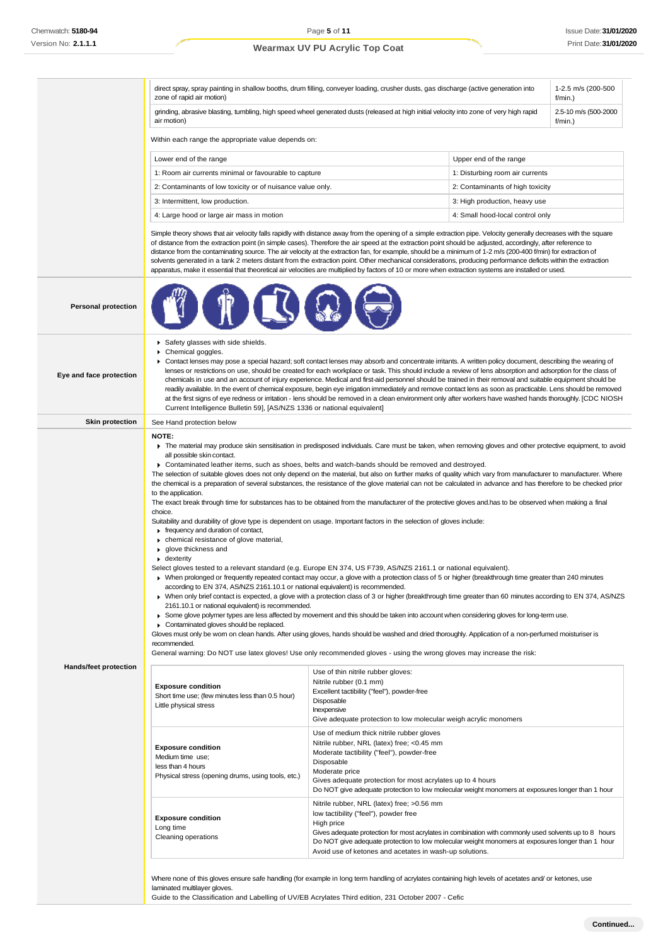|                              | 1-2.5 m/s (200-500<br>direct spray, spray painting in shallow booths, drum filling, conveyer loading, crusher dusts, gas discharge (active generation into<br>zone of rapid air motion)<br>f/min.)                                                                                                                                                                                                                                                                                                                                                                                                                                                                                                                                                                                                                                                                                                                                                                                                                                                                                                                                                                                                                                                                                                                                                                                                                                                                                                                                                                                                                                                                                                                                                                                                                                                                                                                                                                                                                                                                                                                                                                                    |                                                                                                                                                                                                                                                                                                                                                                           |                                  |                      |  |
|------------------------------|---------------------------------------------------------------------------------------------------------------------------------------------------------------------------------------------------------------------------------------------------------------------------------------------------------------------------------------------------------------------------------------------------------------------------------------------------------------------------------------------------------------------------------------------------------------------------------------------------------------------------------------------------------------------------------------------------------------------------------------------------------------------------------------------------------------------------------------------------------------------------------------------------------------------------------------------------------------------------------------------------------------------------------------------------------------------------------------------------------------------------------------------------------------------------------------------------------------------------------------------------------------------------------------------------------------------------------------------------------------------------------------------------------------------------------------------------------------------------------------------------------------------------------------------------------------------------------------------------------------------------------------------------------------------------------------------------------------------------------------------------------------------------------------------------------------------------------------------------------------------------------------------------------------------------------------------------------------------------------------------------------------------------------------------------------------------------------------------------------------------------------------------------------------------------------------|---------------------------------------------------------------------------------------------------------------------------------------------------------------------------------------------------------------------------------------------------------------------------------------------------------------------------------------------------------------------------|----------------------------------|----------------------|--|
|                              | grinding, abrasive blasting, tumbling, high speed wheel generated dusts (released at high initial velocity into zone of very high rapid<br>air motion)<br>f/min.)                                                                                                                                                                                                                                                                                                                                                                                                                                                                                                                                                                                                                                                                                                                                                                                                                                                                                                                                                                                                                                                                                                                                                                                                                                                                                                                                                                                                                                                                                                                                                                                                                                                                                                                                                                                                                                                                                                                                                                                                                     |                                                                                                                                                                                                                                                                                                                                                                           |                                  | 2.5-10 m/s (500-2000 |  |
|                              | Within each range the appropriate value depends on:                                                                                                                                                                                                                                                                                                                                                                                                                                                                                                                                                                                                                                                                                                                                                                                                                                                                                                                                                                                                                                                                                                                                                                                                                                                                                                                                                                                                                                                                                                                                                                                                                                                                                                                                                                                                                                                                                                                                                                                                                                                                                                                                   |                                                                                                                                                                                                                                                                                                                                                                           |                                  |                      |  |
|                              | Lower end of the range                                                                                                                                                                                                                                                                                                                                                                                                                                                                                                                                                                                                                                                                                                                                                                                                                                                                                                                                                                                                                                                                                                                                                                                                                                                                                                                                                                                                                                                                                                                                                                                                                                                                                                                                                                                                                                                                                                                                                                                                                                                                                                                                                                |                                                                                                                                                                                                                                                                                                                                                                           | Upper end of the range           |                      |  |
|                              | 1: Room air currents minimal or favourable to capture                                                                                                                                                                                                                                                                                                                                                                                                                                                                                                                                                                                                                                                                                                                                                                                                                                                                                                                                                                                                                                                                                                                                                                                                                                                                                                                                                                                                                                                                                                                                                                                                                                                                                                                                                                                                                                                                                                                                                                                                                                                                                                                                 |                                                                                                                                                                                                                                                                                                                                                                           | 1: Disturbing room air currents  |                      |  |
|                              | 2: Contaminants of low toxicity or of nuisance value only.                                                                                                                                                                                                                                                                                                                                                                                                                                                                                                                                                                                                                                                                                                                                                                                                                                                                                                                                                                                                                                                                                                                                                                                                                                                                                                                                                                                                                                                                                                                                                                                                                                                                                                                                                                                                                                                                                                                                                                                                                                                                                                                            |                                                                                                                                                                                                                                                                                                                                                                           | 2: Contaminants of high toxicity |                      |  |
|                              | 3: Intermittent, low production.                                                                                                                                                                                                                                                                                                                                                                                                                                                                                                                                                                                                                                                                                                                                                                                                                                                                                                                                                                                                                                                                                                                                                                                                                                                                                                                                                                                                                                                                                                                                                                                                                                                                                                                                                                                                                                                                                                                                                                                                                                                                                                                                                      |                                                                                                                                                                                                                                                                                                                                                                           | 3: High production, heavy use    |                      |  |
|                              | 4: Large hood or large air mass in motion                                                                                                                                                                                                                                                                                                                                                                                                                                                                                                                                                                                                                                                                                                                                                                                                                                                                                                                                                                                                                                                                                                                                                                                                                                                                                                                                                                                                                                                                                                                                                                                                                                                                                                                                                                                                                                                                                                                                                                                                                                                                                                                                             |                                                                                                                                                                                                                                                                                                                                                                           | 4: Small hood-local control only |                      |  |
|                              | Simple theory shows that air velocity falls rapidly with distance away from the opening of a simple extraction pipe. Velocity generally decreases with the square<br>of distance from the extraction point (in simple cases). Therefore the air speed at the extraction point should be adjusted, accordingly, after reference to<br>distance from the contaminating source. The air velocity at the extraction fan, for example, should be a minimum of 1-2 m/s (200-400 f/min) for extraction of<br>solvents generated in a tank 2 meters distant from the extraction point. Other mechanical considerations, producing performance deficits within the extraction<br>apparatus, make it essential that theoretical air velocities are multiplied by factors of 10 or more when extraction systems are installed or used.                                                                                                                                                                                                                                                                                                                                                                                                                                                                                                                                                                                                                                                                                                                                                                                                                                                                                                                                                                                                                                                                                                                                                                                                                                                                                                                                                           |                                                                                                                                                                                                                                                                                                                                                                           |                                  |                      |  |
| <b>Personal protection</b>   |                                                                                                                                                                                                                                                                                                                                                                                                                                                                                                                                                                                                                                                                                                                                                                                                                                                                                                                                                                                                                                                                                                                                                                                                                                                                                                                                                                                                                                                                                                                                                                                                                                                                                                                                                                                                                                                                                                                                                                                                                                                                                                                                                                                       |                                                                                                                                                                                                                                                                                                                                                                           |                                  |                      |  |
| Eye and face protection      | Safety glasses with side shields.<br>Chemical goggles.<br>▶ Contact lenses may pose a special hazard; soft contact lenses may absorb and concentrate irritants. A written policy document, describing the wearing of<br>lenses or restrictions on use, should be created for each workplace or task. This should include a review of lens absorption and adsorption for the class of<br>chemicals in use and an account of injury experience. Medical and first-aid personnel should be trained in their removal and suitable equipment should be<br>readily available. In the event of chemical exposure, begin eye irrigation immediately and remove contact lens as soon as practicable. Lens should be removed<br>at the first signs of eye redness or irritation - lens should be removed in a clean environment only after workers have washed hands thoroughly. [CDC NIOSH<br>Current Intelligence Bulletin 59], [AS/NZS 1336 or national equivalent]                                                                                                                                                                                                                                                                                                                                                                                                                                                                                                                                                                                                                                                                                                                                                                                                                                                                                                                                                                                                                                                                                                                                                                                                                          |                                                                                                                                                                                                                                                                                                                                                                           |                                  |                      |  |
| <b>Skin protection</b>       | See Hand protection below                                                                                                                                                                                                                                                                                                                                                                                                                                                                                                                                                                                                                                                                                                                                                                                                                                                                                                                                                                                                                                                                                                                                                                                                                                                                                                                                                                                                                                                                                                                                                                                                                                                                                                                                                                                                                                                                                                                                                                                                                                                                                                                                                             |                                                                                                                                                                                                                                                                                                                                                                           |                                  |                      |  |
|                              | NOTE:<br>The material may produce skin sensitisation in predisposed individuals. Care must be taken, when removing gloves and other protective equipment, to avoid<br>all possible skin contact.<br>► Contaminated leather items, such as shoes, belts and watch-bands should be removed and destroyed.<br>The selection of suitable gloves does not only depend on the material, but also on further marks of quality which vary from manufacturer to manufacturer. Where<br>the chemical is a preparation of several substances, the resistance of the glove material can not be calculated in advance and has therefore to be checked prior<br>to the application.<br>The exact break through time for substances has to be obtained from the manufacturer of the protective gloves and has to be observed when making a final<br>choice.<br>Suitability and durability of glove type is dependent on usage. Important factors in the selection of gloves include:<br>Firequency and duration of contact,<br>• chemical resistance of glove material,<br>▶ glove thickness and<br>$\bullet$ dexterity<br>Select gloves tested to a relevant standard (e.g. Europe EN 374, US F739, AS/NZS 2161.1 or national equivalent).<br>> When prolonged or frequently repeated contact may occur, a glove with a protection class of 5 or higher (breakthrough time greater than 240 minutes<br>according to EN 374, AS/NZS 2161.10.1 or national equivalent) is recommended.<br>> When only brief contact is expected, a glove with a protection class of 3 or higher (breakthrough time greater than 60 minutes according to EN 374, AS/NZS<br>2161.10.1 or national equivalent) is recommended.<br>► Some glove polymer types are less affected by movement and this should be taken into account when considering gloves for long-term use.<br>Contaminated gloves should be replaced.<br>Gloves must only be wom on clean hands. After using gloves, hands should be washed and dried thoroughly. Application of a non-perfumed moisturiser is<br>recommended.<br>General warning: Do NOT use latex gloves! Use only recommended gloves - using the wrong gloves may increase the risk: |                                                                                                                                                                                                                                                                                                                                                                           |                                  |                      |  |
| <b>Hands/feet protection</b> | <b>Exposure condition</b><br>Short time use; (few minutes less than 0.5 hour)<br>Little physical stress                                                                                                                                                                                                                                                                                                                                                                                                                                                                                                                                                                                                                                                                                                                                                                                                                                                                                                                                                                                                                                                                                                                                                                                                                                                                                                                                                                                                                                                                                                                                                                                                                                                                                                                                                                                                                                                                                                                                                                                                                                                                               | Use of thin nitrile rubber gloves:<br>Nitrile rubber (0.1 mm)<br>Excellent tactibility ("feel"), powder-free<br>Disposable<br>Inexpensive<br>Give adequate protection to low molecular weigh acrylic monomers<br>Use of medium thick nitrile rubber gloves<br>Nitrile rubber, NRL (latex) free; <0.45 mm                                                                  |                                  |                      |  |
|                              | <b>Exposure condition</b><br>Medium time use;<br>less than 4 hours<br>Physical stress (opening drums, using tools, etc.)                                                                                                                                                                                                                                                                                                                                                                                                                                                                                                                                                                                                                                                                                                                                                                                                                                                                                                                                                                                                                                                                                                                                                                                                                                                                                                                                                                                                                                                                                                                                                                                                                                                                                                                                                                                                                                                                                                                                                                                                                                                              | Moderate tactibility ("feel"), powder-free<br>Disposable<br>Moderate price<br>Gives adequate protection for most acrylates up to 4 hours<br>Do NOT give adequate protection to low molecular weight monomers at exposures longer than 1 hour                                                                                                                              |                                  |                      |  |
|                              | <b>Exposure condition</b><br>Long time<br>Cleaning operations                                                                                                                                                                                                                                                                                                                                                                                                                                                                                                                                                                                                                                                                                                                                                                                                                                                                                                                                                                                                                                                                                                                                                                                                                                                                                                                                                                                                                                                                                                                                                                                                                                                                                                                                                                                                                                                                                                                                                                                                                                                                                                                         | Nitrile rubber, NRL (latex) free; >0.56 mm<br>low tactibility ("feel"), powder free<br>High price<br>Gives adequate protection for most acrylates in combination with commonly used solvents up to 8 hours<br>Do NOT give adequate protection to low molecular weight monomers at exposures longer than 1 hour<br>Avoid use of ketones and acetates in wash-up solutions. |                                  |                      |  |
|                              | Where none of this gloves ensure safe handling (for example in long term handling of acrylates containing high levels of acetates and/or ketones, use                                                                                                                                                                                                                                                                                                                                                                                                                                                                                                                                                                                                                                                                                                                                                                                                                                                                                                                                                                                                                                                                                                                                                                                                                                                                                                                                                                                                                                                                                                                                                                                                                                                                                                                                                                                                                                                                                                                                                                                                                                 |                                                                                                                                                                                                                                                                                                                                                                           |                                  |                      |  |

Guide to the Classification and Labelling of UV/EB Acrylates Third edition, 231 October 2007 - Cefic

laminated multilayer gloves.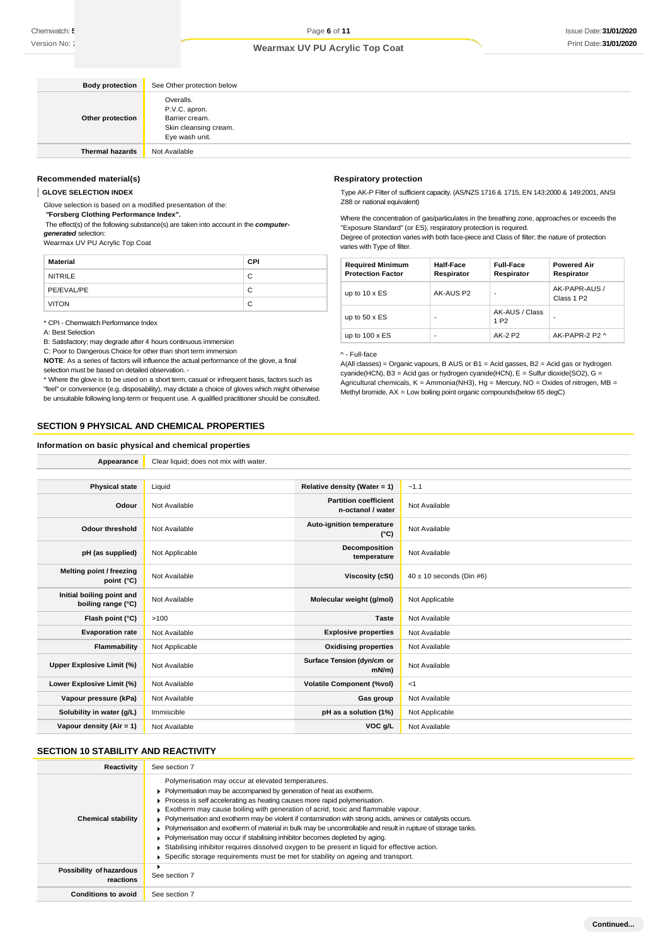| <b>Body protection</b> | See Other protection below                                                              |
|------------------------|-----------------------------------------------------------------------------------------|
| Other protection       | Overalls.<br>P.V.C. apron.<br>Barrier cream.<br>Skin cleansing cream.<br>Eye wash unit. |
| <b>Thermal hazards</b> | Not Available                                                                           |

#### **Recommended material(s)**

**GLOVE SELECTION INDEX**

Glove selection is based on a modified presentation of the:

*"***Forsberg Clothing Performance Index".**

The effect(s) of the following substance(s) are taken into account in the *computergenerated* selection:

Wearmax UV PU Acrylic Top Coat

| Material       | CPI |
|----------------|-----|
| <b>NITRILE</b> | С   |
| PE/EVAL/PE     | C   |
| <b>VITON</b>   | С   |

\* CPI - Chemwatch Performance Index

A: Best Selection

B: Satisfactory; may degrade after 4 hours continuous immersion

C: Poor to Dangerous Choice for other than short term immersion

**NOTE**: As a series of factors will influence the actual performance of the glove, a final selection must be based on detailed observation. -

\* Where the glove is to be used on a short term, casual or infrequent basis, factors such as

"feel" or convenience (e.g. disposability), may dictate a choice of gloves which might otherwise be unsuitable following long-term or frequent use. A qualified practitioner should be consulted.

Appearance **Clear liquid**; does not mix with water.

### **SECTION 9 PHYSICAL AND CHEMICAL PROPERTIES**

#### **Information on basic physical and chemical properties**

**Respiratory protection**

Type AK-P Filter of sufficient capacity. (AS/NZS 1716 & 1715, EN 143:2000 & 149:2001, ANSI Z88 or national equivalent)

Where the concentration of gas/particulates in the breathing zone, approaches or exceeds the "Exposure Standard" (or ES), respiratory protection is required.

Degree of protection varies with both face-piece and Class of filter; the nature of protection varies with Type of filter.

| <b>Required Minimum</b><br><b>Protection Factor</b> | Half-Face<br>Respirator | <b>Full-Face</b><br>Respirator     | <b>Powered Air</b><br>Respirator        |
|-----------------------------------------------------|-------------------------|------------------------------------|-----------------------------------------|
| up to $10 \times ES$                                | AK-AUS P2               | ٠                                  | AK-PAPR-AUS /<br>Class 1 P <sub>2</sub> |
| up to $50 \times ES$                                | ٠                       | AK-AUS / Class<br>1 P <sub>2</sub> |                                         |
| up to $100 \times ES$                               | -                       | AK-2 P2                            | AK-PAPR-2 P2 ^                          |

#### ^ - Full-face

A(All classes) = Organic vapours, B AUS or B1 = Acid gasses, B2 = Acid gas or hydrogen cyanide(HCN), B3 = Acid gas or hydrogen cyanide(HCN), E = Sulfur dioxide(SO2), G = Agricultural chemicals,  $K =$  Ammonia(NH3), Hg = Mercury, NO = Oxides of nitrogen, MB = Methyl bromide, AX = Low boiling point organic compounds(below 65 degC)

| <b>Physical state</b>                           | Liquid         | Relative density (Water = 1)                      | $-1.1$                       |
|-------------------------------------------------|----------------|---------------------------------------------------|------------------------------|
| Odour                                           | Not Available  | <b>Partition coefficient</b><br>n-octanol / water | Not Available                |
| <b>Odour threshold</b>                          | Not Available  | Auto-ignition temperature<br>$(^{\circ}C)$        | Not Available                |
| pH (as supplied)                                | Not Applicable | Decomposition<br>temperature                      | Not Available                |
| Melting point / freezing<br>point (°C)          | Not Available  | Viscosity (cSt)                                   | $40 \pm 10$ seconds (Din #6) |
| Initial boiling point and<br>boiling range (°C) | Not Available  | Molecular weight (g/mol)                          | Not Applicable               |
| Flash point (°C)                                | >100           | <b>Taste</b>                                      | Not Available                |
| <b>Evaporation rate</b>                         | Not Available  | <b>Explosive properties</b>                       | Not Available                |
| Flammability                                    | Not Applicable | <b>Oxidising properties</b>                       | Not Available                |
| Upper Explosive Limit (%)                       | Not Available  | Surface Tension (dyn/cm or<br>$mN/m$ )            | Not Available                |
| Lower Explosive Limit (%)                       | Not Available  | <b>Volatile Component (%vol)</b>                  | <1                           |
| Vapour pressure (kPa)                           | Not Available  | Gas group                                         | Not Available                |
| Solubility in water (g/L)                       | Immiscible     | pH as a solution (1%)                             | Not Applicable               |
| Vapour density (Air = 1)                        | Not Available  | VOC g/L                                           | Not Available                |
|                                                 |                |                                                   |                              |

### **SECTION 10 STABILITY AND REACTIVITY**

| Reactivity                            | See section 7                                                                                                                                                                                                                                                                                                                                                                                                                                                                                                                                                                                                                                                                                                                                                                                                          |
|---------------------------------------|------------------------------------------------------------------------------------------------------------------------------------------------------------------------------------------------------------------------------------------------------------------------------------------------------------------------------------------------------------------------------------------------------------------------------------------------------------------------------------------------------------------------------------------------------------------------------------------------------------------------------------------------------------------------------------------------------------------------------------------------------------------------------------------------------------------------|
| <b>Chemical stability</b>             | Polymerisation may occur at elevated temperatures.<br>Polymerisation may be accompanied by generation of heat as exotherm.<br>• Process is self accelerating as heating causes more rapid polymerisation.<br>$\triangleright$ Exotherm may cause boiling with generation of acrid, toxic and flammable vapour.<br>► Polymerisation and exotherm may be violent if contamination with strong acids, amines or catalysts occurs.<br>► Polymerisation and exotherm of material in bulk may be uncontrollable and result in rupture of storage tanks.<br>Polymerisation may occur if stabilising inhibitor becomes depleted by aging.<br>Stabilising inhibitor requires dissolved oxygen to be present in liquid for effective action.<br>Specific storage requirements must be met for stability on ageing and transport. |
| Possibility of hazardous<br>reactions | See section 7                                                                                                                                                                                                                                                                                                                                                                                                                                                                                                                                                                                                                                                                                                                                                                                                          |
| <b>Conditions to avoid</b>            | See section 7                                                                                                                                                                                                                                                                                                                                                                                                                                                                                                                                                                                                                                                                                                                                                                                                          |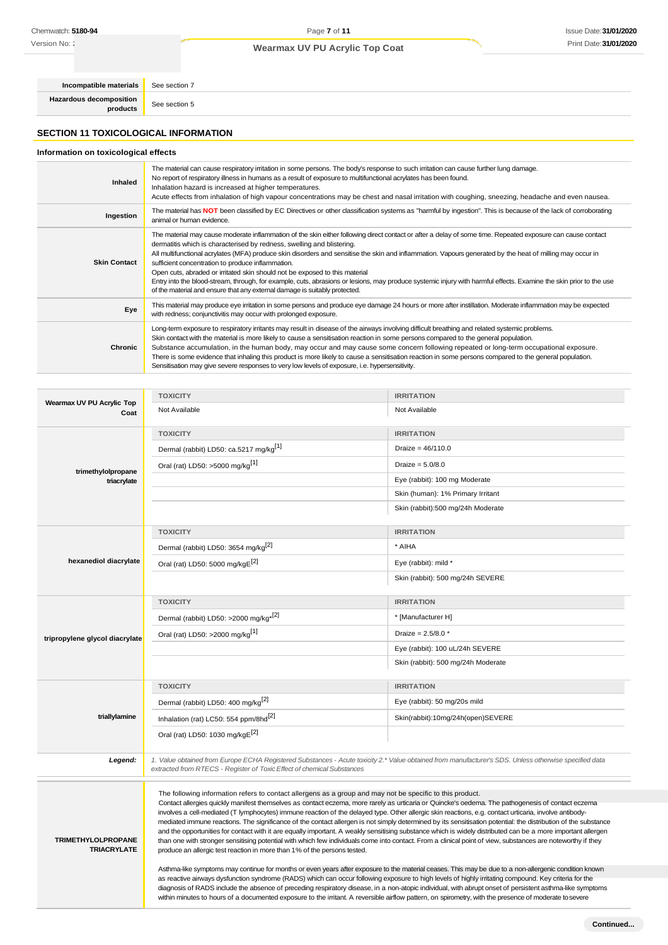Version No: 2

## **Wearmax UV PU Acrylic Top Coat**

**Incompatible materials** See section 7 **Hazardous decomposition**<br>**products** See section 5

**SECTION 11 TOXICOLOGICAL INFORMATION**

### **Information on toxicological effects**

| <b>Inhaled</b>      | The material can cause respiratory irritation in some persons. The body's response to such irritation can cause further lung damage.<br>No report of respiratory illness in humans as a result of exposure to multifunctional acrylates has been found.<br>Inhalation hazard is increased at higher temperatures.<br>Acute effects from inhalation of high vapour concentrations may be chest and nasal irritation with coughing, sneezing, headache and even nausea.                                                                                                                                                                                                                                                                                                                      |
|---------------------|--------------------------------------------------------------------------------------------------------------------------------------------------------------------------------------------------------------------------------------------------------------------------------------------------------------------------------------------------------------------------------------------------------------------------------------------------------------------------------------------------------------------------------------------------------------------------------------------------------------------------------------------------------------------------------------------------------------------------------------------------------------------------------------------|
| Ingestion           | The material has NOT been classified by EC Directives or other classification systems as "harmful by ingestion". This is because of the lack of corroborating<br>animal or human evidence.                                                                                                                                                                                                                                                                                                                                                                                                                                                                                                                                                                                                 |
| <b>Skin Contact</b> | The material may cause moderate inflammation of the skin either following direct contact or after a delay of some time. Repeated exposure can cause contact<br>dermatitis which is characterised by redness, swelling and blistering.<br>All multifunctional acrylates (MFA) produce skin disorders and sensitise the skin and inflammation. Vapours generated by the heat of milling may occur in<br>sufficient concentration to produce inflammation.<br>Open cuts, abraded or irritated skin should not be exposed to this material<br>Entry into the blood-stream, through, for example, cuts, abrasions or lesions, may produce systemic injury with harmful effects. Examine the skin prior to the use<br>of the material and ensure that any external damage is suitably protected. |
| Eye                 | This material may produce eye irritation in some persons and produce eye damage 24 hours or more after instillation. Moderate inflammation may be expected<br>with redness; conjunctivitis may occur with prolonged exposure.                                                                                                                                                                                                                                                                                                                                                                                                                                                                                                                                                              |
| Chronic             | Long-term exposure to respiratory irritants may result in disease of the airways involving difficult breathing and related systemic problems.<br>Skin contact with the material is more likely to cause a sensitisation reaction in some persons compared to the general population.<br>Substance accumulation, in the human body, may occur and may cause some concern following repeated or long-term occupational exposure.<br>There is some evidence that inhaling this product is more likely to cause a sensitisation reaction in some persons compared to the general population.<br>Sensitisation may give severe responses to very low levels of exposure, i.e. hypersensitivity.                                                                                                 |

| Wearmax UV PU Acrylic Top<br>Not Available<br>Not Available<br>Coat                                                                                                                                                                                                                                                            |                                                                                                                                                       |  |  |
|--------------------------------------------------------------------------------------------------------------------------------------------------------------------------------------------------------------------------------------------------------------------------------------------------------------------------------|-------------------------------------------------------------------------------------------------------------------------------------------------------|--|--|
|                                                                                                                                                                                                                                                                                                                                |                                                                                                                                                       |  |  |
| <b>TOXICITY</b><br><b>IRRITATION</b>                                                                                                                                                                                                                                                                                           |                                                                                                                                                       |  |  |
| Dermal (rabbit) LD50: ca.5217 mg/kg[1]<br>Draize = $46/110.0$                                                                                                                                                                                                                                                                  |                                                                                                                                                       |  |  |
| Oral (rat) LD50: >5000 mg/kg[1]<br>Draize = $5.0/8.0$<br>trimethylolpropane                                                                                                                                                                                                                                                    |                                                                                                                                                       |  |  |
| Eye (rabbit): 100 mg Moderate<br>triacrylate                                                                                                                                                                                                                                                                                   |                                                                                                                                                       |  |  |
| Skin (human): 1% Primary Irritant                                                                                                                                                                                                                                                                                              |                                                                                                                                                       |  |  |
| Skin (rabbit):500 mg/24h Moderate                                                                                                                                                                                                                                                                                              |                                                                                                                                                       |  |  |
| <b>TOXICITY</b><br><b>IRRITATION</b>                                                                                                                                                                                                                                                                                           |                                                                                                                                                       |  |  |
| Dermal (rabbit) LD50: 3654 mg/kg <sup>[2]</sup><br>* AIHA                                                                                                                                                                                                                                                                      |                                                                                                                                                       |  |  |
| hexanediol diacrylate<br>Oral (rat) LD50: 5000 mg/kgE <sup>[2]</sup><br>Eye (rabbit): mild *                                                                                                                                                                                                                                   |                                                                                                                                                       |  |  |
| Skin (rabbit): 500 mg/24h SEVERE                                                                                                                                                                                                                                                                                               |                                                                                                                                                       |  |  |
| <b>TOXICITY</b><br><b>IRRITATION</b>                                                                                                                                                                                                                                                                                           |                                                                                                                                                       |  |  |
| Dermal (rabbit) LD50: >2000 mg/kg <sup>*[2]</sup><br>* [Manufacturer H]                                                                                                                                                                                                                                                        |                                                                                                                                                       |  |  |
| Oral (rat) LD50: >2000 mg/kg <sup>[1]</sup><br>Draize = $2.5/8.0*$<br>tripropylene glycol diacrylate                                                                                                                                                                                                                           |                                                                                                                                                       |  |  |
| Eye (rabbit): 100 uL/24h SEVERE                                                                                                                                                                                                                                                                                                |                                                                                                                                                       |  |  |
| Skin (rabbit): 500 mg/24h Moderate                                                                                                                                                                                                                                                                                             |                                                                                                                                                       |  |  |
| <b>TOXICITY</b><br><b>IRRITATION</b>                                                                                                                                                                                                                                                                                           |                                                                                                                                                       |  |  |
| Dermal (rabbit) LD50: 400 mg/kg <sup>[2]</sup><br>Eye (rabbit): 50 mg/20s mild                                                                                                                                                                                                                                                 |                                                                                                                                                       |  |  |
| triallylamine<br>Inhalation (rat) LC50: 554 ppm/8hd <sup>[2]</sup><br>Skin(rabbit):10mg/24h(open)SEVERE                                                                                                                                                                                                                        |                                                                                                                                                       |  |  |
| Oral (rat) LD50: 1030 mg/kgE <sup>[2]</sup>                                                                                                                                                                                                                                                                                    |                                                                                                                                                       |  |  |
| Legend:<br>extracted from RTECS - Register of Toxic Effect of chemical Substances                                                                                                                                                                                                                                              | 1. Value obtained from Europe ECHA Registered Substances - Acute toxicity 2.* Value obtained from manufacturer's SDS. Unless otherwise specified data |  |  |
|                                                                                                                                                                                                                                                                                                                                |                                                                                                                                                       |  |  |
| The following information refers to contact allergens as a group and may not be specific to this product.<br>Contact allergies quickly manifest themselves as contact eczema, more rarely as urticaria or Quincke's oedema. The pathogenesis of contact eczema                                                                 |                                                                                                                                                       |  |  |
| involves a cell-mediated (T lymphocytes) immune reaction of the delayed type. Other allergic skin reactions, e.g. contact urticaria, involve antibody-                                                                                                                                                                         |                                                                                                                                                       |  |  |
| mediated immune reactions. The significance of the contact allergen is not simply determined by its sensitisation potential: the distribution of the substance<br>and the opportunities for contact with it are equally important. A weakly sensitising substance which is widely distributed can be a more important allergen |                                                                                                                                                       |  |  |
| <b>TRIMETHYLOLPROPANE</b><br>than one with stronger sensitising potential with which few individuals come into contact. From a clinical point of view, substances are noteworthy if they<br><b>TRIACRYLATE</b>                                                                                                                 |                                                                                                                                                       |  |  |
|                                                                                                                                                                                                                                                                                                                                | produce an allergic test reaction in more than 1% of the persons tested.                                                                              |  |  |
| as reactive airways dysfunction syndrome (RADS) which can occur following exposure to high levels of highly irritating compound. Key criteria for the                                                                                                                                                                          | Asthma-like symptoms may continue for months or even years after exposure to the material ceases. This may be due to a non-allergenic condition known |  |  |
| diagnosis of RADS include the absence of preceding respiratory disease, in a non-atopic individual, with abrupt onset of persistent asthma-like symptoms<br>within minutes to hours of a documented exposure to the irritant. A reversible airflow pattern, on spirometry, with the presence of moderate to severe             |                                                                                                                                                       |  |  |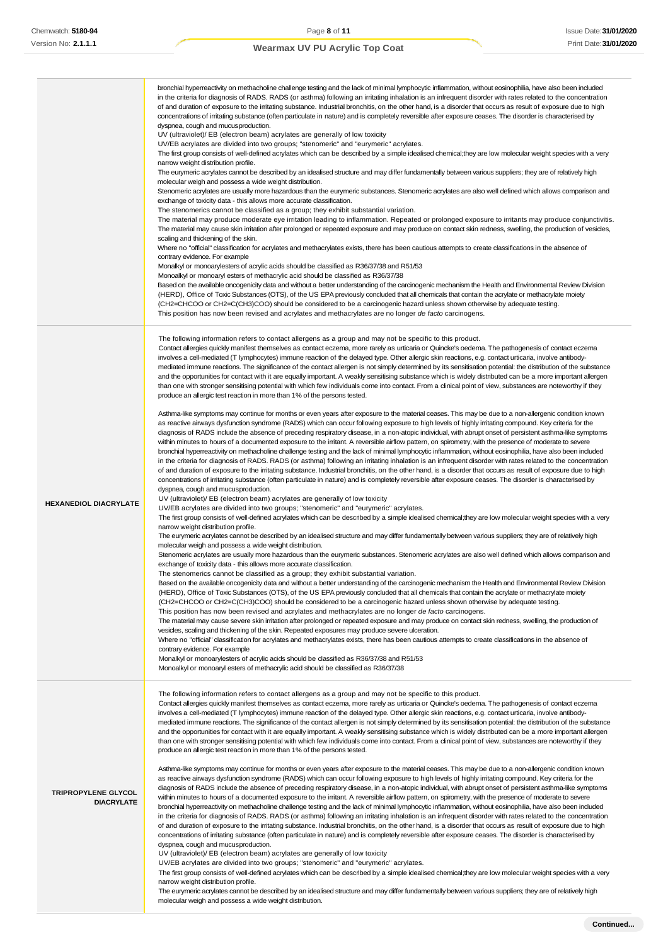|                                          | bronchial hyperreactivity on methacholine challenge testing and the lack of minimal lymphocytic inflammation, without eosinophilia, have also been included<br>in the criteria for diagnosis of RADS. RADS (or asthma) following an irritating inhalation is an infrequent disorder with rates related to the concentration<br>of and duration of exposure to the irritating substance. Industrial bronchitis, on the other hand, is a disorder that occurs as result of exposure due to high<br>concentrations of irritating substance (often particulate in nature) and is completely reversible after exposure ceases. The disorder is characterised by<br>dyspnea, cough and mucusproduction.<br>UV (ultraviolet)/ EB (electron beam) acrylates are generally of low toxicity<br>UV/EB acrylates are divided into two groups; "stenomeric" and "eurymeric" acrylates.<br>The first group consists of well-defined acrylates which can be described by a simple idealised chemical; they are low molecular weight species with a very<br>narrow weight distribution profile.<br>The eurymeric acrylates cannot be described by an idealised structure and may differ fundamentally between various suppliers; they are of relatively high<br>molecular weigh and possess a wide weight distribution.<br>Stenomeric acrylates are usually more hazardous than the eurymeric substances. Stenomeric acrylates are also well defined which allows comparison and<br>exchange of toxicity data - this allows more accurate classification.<br>The stenomerics cannot be classified as a group; they exhibit substantial variation.<br>The material may produce moderate eye irritation leading to inflammation. Repeated or prolonged exposure to irritants may produce conjunctivitis.<br>The material may cause skin irritation after prolonged or repeated exposure and may produce on contact skin redness, swelling, the production of vesicles,<br>scaling and thickening of the skin.<br>Where no "official" classification for acrylates and methacrylates exists, there has been cautious attempts to create classifications in the absence of<br>contrary evidence. For example<br>Monalkyl or monoarylesters of acrylic acids should be classified as R36/37/38 and R51/53<br>Monoalkyl or monoaryl esters of methacrylic acid should be classified as R36/37/38<br>Based on the available oncogenicity data and without a better understanding of the carcinogenic mechanism the Health and Environmental Review Division<br>(HERD), Office of Toxic Substances (OTS), of the US EPA previously concluded that all chemicals that contain the acrylate or methacrylate moiety<br>(CH2=CHCOO or CH2=C(CH3)COO) should be considered to be a carcinogenic hazard unless shown otherwise by adequate testing.<br>This position has now been revised and acrylates and methacrylates are no longer de facto carcinogens.                                                                                                                                                                                                                                                                                                                                                                                                                                                                                                                                                                                                                                                                                                                                                                                                                                                                                                                                                                                                                                                                                                                                                                                                                                                                                                                                  |
|------------------------------------------|------------------------------------------------------------------------------------------------------------------------------------------------------------------------------------------------------------------------------------------------------------------------------------------------------------------------------------------------------------------------------------------------------------------------------------------------------------------------------------------------------------------------------------------------------------------------------------------------------------------------------------------------------------------------------------------------------------------------------------------------------------------------------------------------------------------------------------------------------------------------------------------------------------------------------------------------------------------------------------------------------------------------------------------------------------------------------------------------------------------------------------------------------------------------------------------------------------------------------------------------------------------------------------------------------------------------------------------------------------------------------------------------------------------------------------------------------------------------------------------------------------------------------------------------------------------------------------------------------------------------------------------------------------------------------------------------------------------------------------------------------------------------------------------------------------------------------------------------------------------------------------------------------------------------------------------------------------------------------------------------------------------------------------------------------------------------------------------------------------------------------------------------------------------------------------------------------------------------------------------------------------------------------------------------------------------------------------------------------------------------------------------------------------------------------------------------------------------------------------------------------------------------------------------------------------------------------------------------------------------------------------------------------------------------------------------------------------------------------------------------------------------------------------------------------------------------------------------------------------------------------------------------------------------------------------------------------------------------------------------------------------------------------------------------------------------------------------------------------------------------------------------------------------------------------------------------------------------------------------------------------------------------------------------------------------------------------------------------------------------------------------------------------------------------------------------------------------------------------------------------------------------------------------------------------------------------------------------------------------------------------------------------------------------------------------------------------------------------------------------------------------------------------------------------------------------------------------------------------------------------------------------------------------------------------------------------------------------------------------------------------------------------------------------------------------------------------------------------------------------------------------------------------------------------------------------------------------------------------------------------------------------|
| <b>HEXANEDIOL DIACRYLATE</b>             | The following information refers to contact allergens as a group and may not be specific to this product.<br>Contact allergies quickly manifest themselves as contact eczema, more rarely as urticaria or Quincke's oedema. The pathogenesis of contact eczema<br>involves a cell-mediated (T lymphocytes) immune reaction of the delayed type. Other allergic skin reactions, e.g. contact urticaria, involve antibody-<br>mediated immune reactions. The significance of the contact allergen is not simply determined by its sensitisation potential: the distribution of the substance<br>and the opportunities for contact with it are equally important. A weakly sensitising substance which is widely distributed can be a more important allergen<br>than one with stronger sensitising potential with which few individuals come into contact. From a clinical point of view, substances are noteworthy if they<br>produce an allergic test reaction in more than 1% of the persons tested.<br>Asthma-like symptoms may continue for months or even years after exposure to the material ceases. This may be due to a non-allergenic condition known<br>as reactive airways dysfunction syndrome (RADS) which can occur following exposure to high levels of highly irritating compound. Key criteria for the<br>diagnosis of RADS include the absence of preceding respiratory disease, in a non-atopic individual, with abrupt onset of persistent asthma-like symptoms<br>within minutes to hours of a documented exposure to the irritant. A reversible airflow pattern, on spirometry, with the presence of moderate to severe<br>bronchial hyperreactivity on methacholine challenge testing and the lack of minimal lymphocytic inflammation, without eosinophilia, have also been included<br>in the criteria for diagnosis of RADS. RADS (or asthma) following an irritating inhalation is an infrequent disorder with rates related to the concentration<br>of and duration of exposure to the irritating substance. Industrial bronchitis, on the other hand, is a disorder that occurs as result of exposure due to high<br>concentrations of irritating substance (often particulate in nature) and is completely reversible after exposure ceases. The disorder is characterised by<br>dyspnea, cough and mucus production.<br>UV (ultraviolet)/ EB (electron beam) acrylates are generally of low toxicity<br>UV/EB acrylates are divided into two groups; "stenomeric" and "eurymeric" acrylates.<br>The first group consists of well-defined acrylates which can be described by a simple idealised chemical;they are low molecular weight species with a very<br>narrow weight distribution profile.<br>The eurymeric acrylates cannot be described by an idealised structure and may differ fundamentally between various suppliers; they are of relatively high<br>molecular weigh and possess a wide weight distribution.<br>Stenomeric acrylates are usually more hazardous than the eurymeric substances. Stenomeric acrylates are also well defined which allows comparison and<br>exchange of toxicity data - this allows more accurate classification.<br>The stenomerics cannot be classified as a group; they exhibit substantial variation.<br>Based on the available oncogenicity data and without a better understanding of the carcinogenic mechanism the Health and Environmental Review Division<br>(HERD), Office of Toxic Substances (OTS), of the US EPA previously concluded that all chemicals that contain the acrylate or methacrylate moiety<br>(CH2=CHCOO or CH2=C(CH3)COO) should be considered to be a carcinogenic hazard unless shown otherwise by adequate testing.<br>This position has now been revised and acrylates and methacrylates are no longer de facto carcinogens.<br>The material may cause severe skin irritation after prolonged or repeated exposure and may produce on contact skin redness, swelling, the production of<br>vesicles, scaling and thickening of the skin. Repeated exposures may produce severe ulceration.<br>Where no "official" classification for acrylates and methacrylates exists, there has been cautious attempts to create classifications in the absence of |
| TRIPROPYLENE GLYCOL<br><b>DIACRYLATE</b> | contrary evidence. For example<br>Monalkyl or monoarylesters of acrylic acids should be classified as R36/37/38 and R51/53<br>Monoalkyl or monoaryl esters of methacrylic acid should be classified as R36/37/38<br>The following information refers to contact allergens as a group and may not be specific to this product.<br>Contact allergies quickly manifest themselves as contact eczema, more rarely as urticaria or Quincke's oedema. The pathogenesis of contact eczema<br>involves a cell-mediated (T lymphocytes) immune reaction of the delayed type. Other allergic skin reactions, e.g. contact urticaria, involve antibody-<br>mediated immune reactions. The significance of the contact allergen is not simply determined by its sensitisation potential: the distribution of the substance<br>and the opportunities for contact with it are equally important. A weakly sensitising substance which is widely distributed can be a more important allergen<br>than one with stronger sensitising potential with which few individuals come into contact. From a clinical point of view, substances are noteworthy if they<br>produce an allergic test reaction in more than 1% of the persons tested.<br>Asthma-like symptoms may continue for months or even years after exposure to the material ceases. This may be due to a non-allergenic condition known<br>as reactive airways dysfunction syndrome (RADS) which can occur following exposure to high levels of highly irritating compound. Key criteria for the<br>diagnosis of RADS include the absence of preceding respiratory disease, in a non-atopic individual, with abrupt onset of persistent asthma-like symptoms<br>within minutes to hours of a documented exposure to the irritant. A reversible airflow pattern, on spirometry, with the presence of moderate to severe<br>bronchial hyperreactivity on methacholine challenge testing and the lack of minimal lymphocytic inflammation, without eosinophilia, have also been included<br>in the criteria for diagnosis of RADS. RADS (or asthma) following an irritating inhalation is an infrequent disorder with rates related to the concentration<br>of and duration of exposure to the irritating substance. Industrial bronchitis, on the other hand, is a disorder that occurs as result of exposure due to high<br>concentrations of irritating substance (often particulate in nature) and is completely reversible after exposure ceases. The disorder is characterised by<br>dyspnea, cough and mucus production.<br>UV (ultraviolet)/ EB (electron beam) acrylates are generally of low toxicity<br>UV/EB acrylates are divided into two groups; "stenomeric" and "eurymeric" acrylates.<br>The first group consists of well-defined acrylates which can be described by a simple idealised chemical; they are low molecular weight species with a very<br>narrow weight distribution profile.<br>The eurymeric acrylates cannot be described by an idealised structure and may differ fundamentally between various suppliers; they are of relatively high                                                                                                                                                                                                                                                                                                                                                                                                                                                                                                                                                                                                                                                                                                                                                                                                                                                                                                                                                                                                                                                                                                                                               |

molecular weigh and possess a wide weight distribution.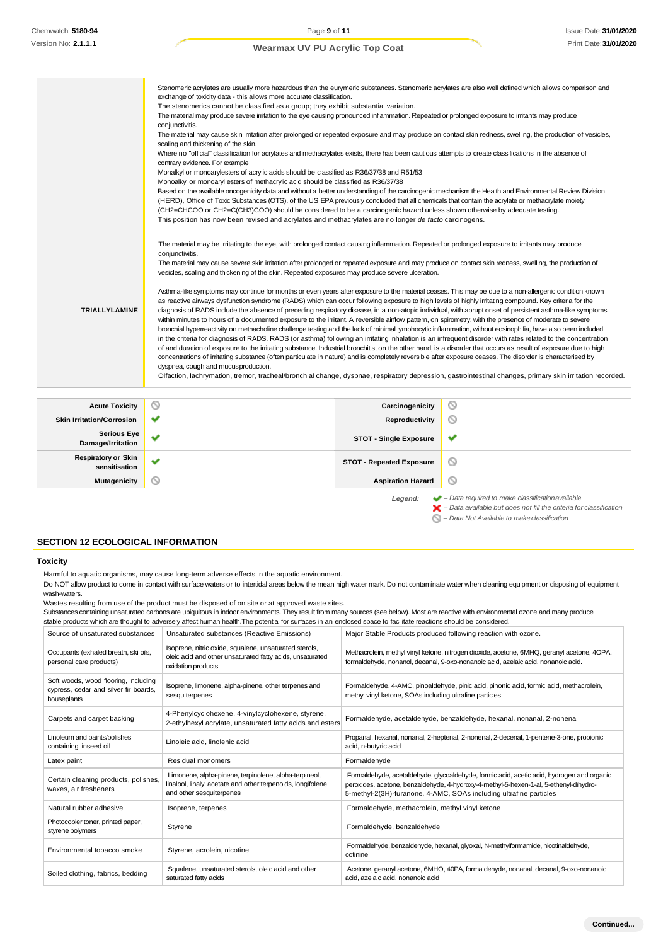|                       | Stenomeric acrylates are usually more hazardous than the eurymeric substances. Stenomeric acrylates are also well defined which allows comparison and<br>exchange of toxicity data - this allows more accurate classification.<br>The stenomerics cannot be classified as a group; they exhibit substantial variation.<br>The material may produce severe irritation to the eye causing pronounced inflammation. Repeated or prolonged exposure to irritants may produce<br>conjunctivitis.<br>The material may cause skin irritation after prolonged or repeated exposure and may produce on contact skin redness, swelling, the production of vesicles,<br>scaling and thickening of the skin.<br>Where no "official" classification for acrylates and methacrylates exists, there has been cautious attempts to create classifications in the absence of<br>contrary evidence. For example<br>Monalkyl or monoarylesters of acrylic acids should be classified as R36/37/38 and R51/53<br>Monoalkyl or monoaryl esters of methacrylic acid should be classified as R36/37/38<br>Based on the available oncogenicity data and without a better understanding of the carcinogenic mechanism the Health and Environmental Review Division<br>(HERD), Office of Toxic Substances (OTS), of the US EPA previously concluded that all chemicals that contain the acrylate or methacrylate moiety<br>(CH2=CHCOO or CH2=C(CH3)COO) should be considered to be a carcinogenic hazard unless shown otherwise by adequate testing.<br>This position has now been revised and acrylates and methacrylates are no longer de facto carcinogens.                                                                                                                                                                                                                                                                                                       |   |
|-----------------------|--------------------------------------------------------------------------------------------------------------------------------------------------------------------------------------------------------------------------------------------------------------------------------------------------------------------------------------------------------------------------------------------------------------------------------------------------------------------------------------------------------------------------------------------------------------------------------------------------------------------------------------------------------------------------------------------------------------------------------------------------------------------------------------------------------------------------------------------------------------------------------------------------------------------------------------------------------------------------------------------------------------------------------------------------------------------------------------------------------------------------------------------------------------------------------------------------------------------------------------------------------------------------------------------------------------------------------------------------------------------------------------------------------------------------------------------------------------------------------------------------------------------------------------------------------------------------------------------------------------------------------------------------------------------------------------------------------------------------------------------------------------------------------------------------------------------------------------------------------------------------------------------------------------------------------------------|---|
| <b>TRIALLYLAMINE</b>  | The material may be irritating to the eye, with prolonged contact causing inflammation. Repeated or prolonged exposure to irritants may produce<br>conjunctivitis.<br>The material may cause severe skin irritation after prolonged or repeated exposure and may produce on contact skin redness, swelling, the production of<br>vesicles, scaling and thickening of the skin. Repeated exposures may produce severe ulceration.<br>Asthma-like symptoms may continue for months or even years after exposure to the material ceases. This may be due to a non-allergenic condition known<br>as reactive airways dysfunction syndrome (RADS) which can occur following exposure to high levels of highly irritating compound. Key criteria for the<br>diagnosis of RADS include the absence of preceding respiratory disease, in a non-atopic individual, with abrupt onset of persistent asthma-like symptoms<br>within minutes to hours of a documented exposure to the irritant. A reversible airflow pattern, on spirometry, with the presence of moderate to severe<br>bronchial hyperreactivity on methacholine challenge testing and the lack of minimal lymphocytic inflammation, without eosinophilia, have also been included<br>in the criteria for diagnosis of RADS. RADS (or asthma) following an irritating inhalation is an infrequent disorder with rates related to the concentration<br>of and duration of exposure to the irritating substance. Industrial bronchitis, on the other hand, is a disorder that occurs as result of exposure due to high<br>concentrations of irritating substance (often particulate in nature) and is completely reversible after exposure ceases. The disorder is characterised by<br>dyspnea, cough and mucus production.<br>Olfaction, lachrymation, tremor, tracheal/bronchial change, dyspnae, respiratory depression, gastrointestinal changes, primary skin irritation recorded. |   |
| <b>Acute Toxicity</b> | ∾<br>Carcinogenicity                                                                                                                                                                                                                                                                                                                                                                                                                                                                                                                                                                                                                                                                                                                                                                                                                                                                                                                                                                                                                                                                                                                                                                                                                                                                                                                                                                                                                                                                                                                                                                                                                                                                                                                                                                                                                                                                                                                       | ◎ |

| <b>Acute Toxicity</b>                       | $\circ$      | Carcinogenicity                 | ∾                                                                      |
|---------------------------------------------|--------------|---------------------------------|------------------------------------------------------------------------|
| <b>Skin Irritation/Corrosion</b>            | ◡            | Reproductivity                  | 0                                                                      |
| <b>Serious Eye</b><br>Damage/Irritation     | $\checkmark$ | <b>STOT - Single Exposure</b>   | v                                                                      |
| <b>Respiratory or Skin</b><br>sensitisation | $\checkmark$ | <b>STOT - Repeated Exposure</b> | O                                                                      |
| Mutagenicity                                | $\circ$      | <b>Aspiration Hazard</b>        | $\circledcirc$                                                         |
|                                             |              | I oaand:                        | $\blacktriangleright$ - Data required to make classification available |

- *Legend: – Data required to make classificationavailable – Data available but does not fill the criteria for classification*
	- *– Data Not Available to makeclassification*

### **SECTION 12 ECOLOGICAL INFORMATION**

#### **Toxicity**

Harmful to aquatic organisms, may cause long-term adverse effects in the aquatic environment.

Do NOT allow product to come in contact with surface waters or to intertidal areas below the mean high water mark. Do not contaminate water when cleaning equipment or disposing of equipment wash-waters.

Wastes resulting from use of the product must be disposed of on site or at approved waste sites.

Substances containing unsaturated carbons are ubiquitous in indoor environments. They result from many sources (see below). Most are reactive with environmental ozone and many produce stable products which are thought to adversely affect human health.The potential for surfaces in an enclosed space to facilitate reactions should be considered.

| Source of unsaturated substances                                                             | Unsaturated substances (Reactive Emissions)                                                                                                      | Major Stable Products produced following reaction with ozone.                                                                                                                                                                                            |
|----------------------------------------------------------------------------------------------|--------------------------------------------------------------------------------------------------------------------------------------------------|----------------------------------------------------------------------------------------------------------------------------------------------------------------------------------------------------------------------------------------------------------|
| Occupants (exhaled breath, ski oils,<br>personal care products)                              | Isoprene, nitric oxide, squalene, unsaturated sterols,<br>oleic acid and other unsaturated fatty acids, unsaturated<br>oxidation products        | Methacrolein, methyl vinyl ketone, nitrogen dioxide, acetone, 6MHQ, geranyl acetone, 4OPA,<br>formaldehyde, nonanol, decanal, 9-oxo-nonanoic acid, azelaic acid, nonanoic acid.                                                                          |
| Soft woods, wood flooring, including<br>cypress, cedar and silver fir boards,<br>houseplants | Isoprene, limonene, alpha-pinene, other terpenes and<br>sesquiterpenes                                                                           | Formaldehyde, 4-AMC, pinoaldehyde, pinic acid, pinonic acid, formic acid, methacrolein,<br>methyl vinyl ketone, SOAs including ultrafine particles                                                                                                       |
| Carpets and carpet backing                                                                   | 4-Phenylcyclohexene, 4-vinylcyclohexene, styrene,<br>2-ethylhexyl acrylate, unsaturated fatty acids and esters                                   | Formaldehyde, acetaldehyde, benzaldehyde, hexanal, nonanal, 2-nonenal                                                                                                                                                                                    |
| Linoleum and paints/polishes<br>containing linseed oil                                       | Linoleic acid, linolenic acid                                                                                                                    | Propanal, hexanal, nonanal, 2-heptenal, 2-nonenal, 2-decenal, 1-pentene-3-one, propionic<br>acid, n-butyric acid                                                                                                                                         |
| Latex paint                                                                                  | Residual monomers                                                                                                                                | Formaldehyde                                                                                                                                                                                                                                             |
| Certain cleaning products, polishes,<br>waxes, air fresheners                                | Limonene, alpha-pinene, terpinolene, alpha-terpineol,<br>linalool, linalyl acetate and other terpenoids, longifolene<br>and other sesquiterpenes | Formaldehyde, acetaldehyde, glycoaldehyde, formic acid, acetic acid, hydrogen and organic<br>peroxides, acetone, benzaldehyde, 4-hydroxy-4-methyl-5-hexen-1-al, 5-ethenyl-dihydro-<br>5-methyl-2(3H)-furanone, 4-AMC, SOAs including ultrafine particles |
| Natural rubber adhesive                                                                      | Isoprene, terpenes                                                                                                                               | Formaldehyde, methacrolein, methyl vinyl ketone                                                                                                                                                                                                          |
| Photocopier toner, printed paper,<br>styrene polymers                                        | Styrene                                                                                                                                          | Formaldehyde, benzaldehyde                                                                                                                                                                                                                               |
| Environmental tobacco smoke                                                                  | Styrene, acrolein, nicotine                                                                                                                      | Formaldehyde, benzaldehyde, hexanal, glyoxal, N-methylformamide, nicotinaldehyde,<br>cotinine                                                                                                                                                            |
| Soiled clothing, fabrics, bedding                                                            | Squalene, unsaturated sterols, oleic acid and other<br>saturated fatty acids                                                                     | Acetone, geranyl acetone, 6MHO, 40PA, formaldehyde, nonanal, decanal, 9-oxo-nonanoic<br>acid, azelaic acid, nonanoic acid                                                                                                                                |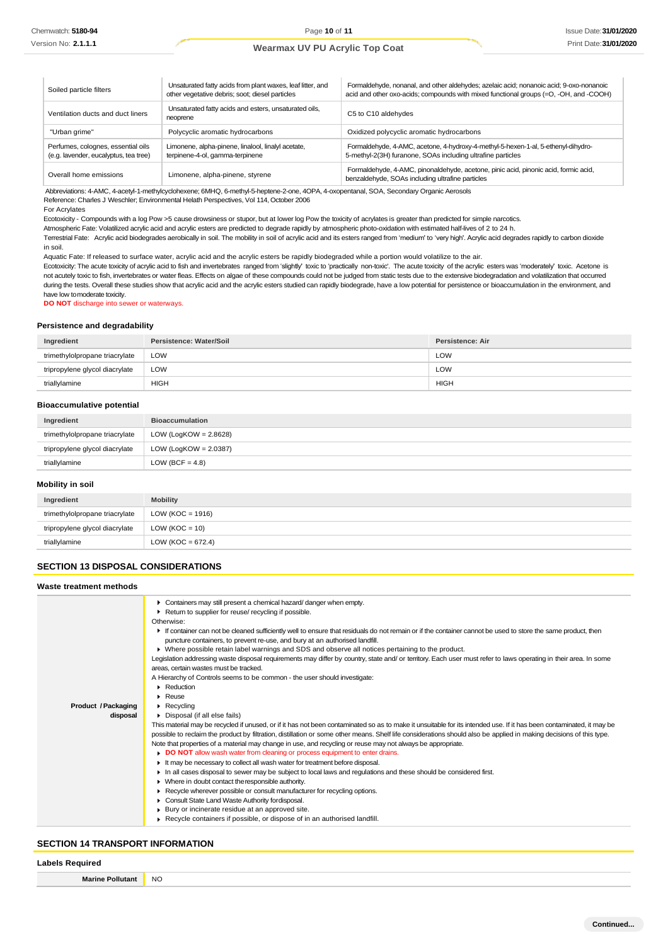| Soiled particle filters                                                     | Unsaturated fatty acids from plant waxes, leaf litter, and<br>other vegetative debris; soot; diesel particles | Formaldehyde, nonanal, and other aldehydes; azelaic acid; nonanoic acid; 9-oxo-nonanoic<br>acid and other oxo-acids; compounds with mixed functional groups (=O, -OH, and -COOH) |
|-----------------------------------------------------------------------------|---------------------------------------------------------------------------------------------------------------|----------------------------------------------------------------------------------------------------------------------------------------------------------------------------------|
| Ventilation ducts and duct liners                                           | Unsaturated fatty acids and esters, unsaturated oils,<br>neoprene                                             | C5 to C10 aldehydes                                                                                                                                                              |
| "Urban grime"                                                               | Polycyclic aromatic hydrocarbons                                                                              | Oxidized polycyclic aromatic hydrocarbons                                                                                                                                        |
| Perfumes, colognes, essential oils<br>(e.g. lavender, eucalyptus, tea tree) | Limonene, alpha-pinene, linalool, linalyl acetate,<br>terpinene-4-ol, gamma-terpinene                         | Formaldehyde, 4-AMC, acetone, 4-hydroxy-4-methyl-5-hexen-1-al, 5-ethenyl-dihydro-<br>5-methyl-2(3H) furanone, SOAs including ultrafine particles                                 |
| Overall home emissions                                                      | Limonene, alpha-pinene, styrene                                                                               | Formaldehyde, 4-AMC, pinonaldehyde, acetone, pinic acid, pinonic acid, formic acid,<br>benzaldehyde, SOAs including ultrafine particles                                          |

Abbreviations: 4-AMC, 4-acetyl-1-methylcyclohexene; 6MHQ, 6-methyl-5-heptene-2-one, 4OPA, 4-oxopentanal, SOA, Secondary Organic Aerosols

Reference: Charles J Weschler; Environmental Helath Perspectives, Vol 114, October 2006

#### For Acrylates

Ecotoxicity - Compounds with a log Pow >5 cause drowsiness or stupor, but at lower log Pow the toxicity of acrylates is greater than predicted for simple narcotics.

Atmospheric Fate: Volatilized acrylic acid and acrylic esters are predicted to degrade rapidly by atmospheric photo-oxidation with estimated half-lives of 2 to 24 h.

Terrestrial Fate: Acrylic acid biodegrades aerobically in soil. The mobility in soil of acrylic acid and its esters ranged from 'medium' to 'very high'. Acrylic acid degrades rapidly to carbon dioxide in soil.

Aquatic Fate: If released to surface water, acrylic acid and the acrylic esters be rapidly biodegraded while a portion would volatilize to the air.

Ecotoxicity: The acute toxicity of acrylic acid to fish and invertebrates ranged from 'slightly' toxic to 'practically non-toxic'. The acute toxicity of the acrylic esters was 'moderately' toxic. Acetone is not acutely toxic to fish, invertebrates or water fleas. Effects on algae of these compounds could not be judged from static tests due to the extensive biodegradation and volatilization that occurred during the tests. Overall these studies show that acrylic acid and the acrylic esters studied can rapidly biodegrade, have a low potential for persistence or bioaccumulation in the environment, and have low tomoderate toxicity.

**DO NOT** discharge into sewer or waterways.

### **Persistence and degradability**

| Ingredient                     | Persistence: Water/Soil | <b>Persistence: Air</b> |
|--------------------------------|-------------------------|-------------------------|
| trimethylolpropane triacrylate | <b>LOW</b>              | LOW                     |
| tripropylene glycol diacrylate | LOW                     | LOW                     |
| triallylamine                  | <b>HIGH</b>             | <b>HIGH</b>             |

#### **Bioaccumulative potential**

| Ingredient                     | <b>Bioaccumulation</b>   |
|--------------------------------|--------------------------|
| trimethylolpropane triacrylate | LOW (LogKOW = $2.8628$ ) |
| tripropylene glycol diacrylate | LOW (LogKOW = $2.0387$ ) |
| triallylamine                  | LOW (BCF = $4.8$ )       |

### **Mobility in soil**

| Ingredient                     | <b>Mobility</b>       |
|--------------------------------|-----------------------|
| trimethylolpropane triacrylate | LOW ( $KOC = 1916$ )  |
| tripropylene glycol diacrylate | LOW ( $KOC = 10$ )    |
| triallylamine                  | LOW ( $KOC = 672.4$ ) |

### **SECTION 13 DISPOSAL CONSIDERATIONS**

| Waste treatment methods         |                                                                                                                                                                                                                                                                                                                                                                                                                                                                                                                                                                                                                                                                                                                                                                                                                                                                                                                                                                                                                                                                                                                                                                                                                                                                                                                                                                                                                                                                                                                                                                                                                                                                                                                                                                                                                                                                                                                                                                          |  |
|---------------------------------|--------------------------------------------------------------------------------------------------------------------------------------------------------------------------------------------------------------------------------------------------------------------------------------------------------------------------------------------------------------------------------------------------------------------------------------------------------------------------------------------------------------------------------------------------------------------------------------------------------------------------------------------------------------------------------------------------------------------------------------------------------------------------------------------------------------------------------------------------------------------------------------------------------------------------------------------------------------------------------------------------------------------------------------------------------------------------------------------------------------------------------------------------------------------------------------------------------------------------------------------------------------------------------------------------------------------------------------------------------------------------------------------------------------------------------------------------------------------------------------------------------------------------------------------------------------------------------------------------------------------------------------------------------------------------------------------------------------------------------------------------------------------------------------------------------------------------------------------------------------------------------------------------------------------------------------------------------------------------|--|
| Product / Packaging<br>disposal | Containers may still present a chemical hazard/danger when empty.<br>Return to supplier for reuse/ recycling if possible.<br>Otherwise:<br>If container can not be cleaned sufficiently well to ensure that residuals do not remain or if the container cannot be used to store the same product, then<br>puncture containers, to prevent re-use, and bury at an authorised landfill.<br>▶ Where possible retain label warnings and SDS and observe all notices pertaining to the product.<br>Legislation addressing waste disposal requirements may differ by country, state and/ or territory. Each user must refer to laws operating in their area. In some<br>areas, certain wastes must be tracked.<br>A Hierarchy of Controls seems to be common - the user should investigate:<br>Reduction<br>$\triangleright$ Reuse<br>$\blacktriangleright$ Recycling<br>Disposal (if all else fails)<br>This material may be recycled if unused, or if it has not been contaminated so as to make it unsuitable for its intended use. If it has been contaminated, it may be<br>possible to reclaim the product by filtration, distillation or some other means. Shelf life considerations should also be applied in making decisions of this type.<br>Note that properties of a material may change in use, and recycling or reuse may not always be appropriate.<br>DO NOT allow wash water from cleaning or process equipment to enter drains.<br>It may be necessary to collect all wash water for treatment before disposal.<br>In all cases disposal to sewer may be subject to local laws and regulations and these should be considered first.<br>Where in doubt contact the responsible authority.<br>▶ Recycle wherever possible or consult manufacturer for recycling options.<br>Consult State Land Waste Authority fordisposal.<br>Bury or incinerate residue at an approved site.<br>► Recycle containers if possible, or dispose of in an authorised landfill. |  |
|                                 |                                                                                                                                                                                                                                                                                                                                                                                                                                                                                                                                                                                                                                                                                                                                                                                                                                                                                                                                                                                                                                                                                                                                                                                                                                                                                                                                                                                                                                                                                                                                                                                                                                                                                                                                                                                                                                                                                                                                                                          |  |

### **SECTION 14 TRANSPORT INFORMATION**

#### **Labels Required**

| ∍ollutant | N         |
|-----------|-----------|
| Marine    | <b>UV</b> |
|           | ____      |